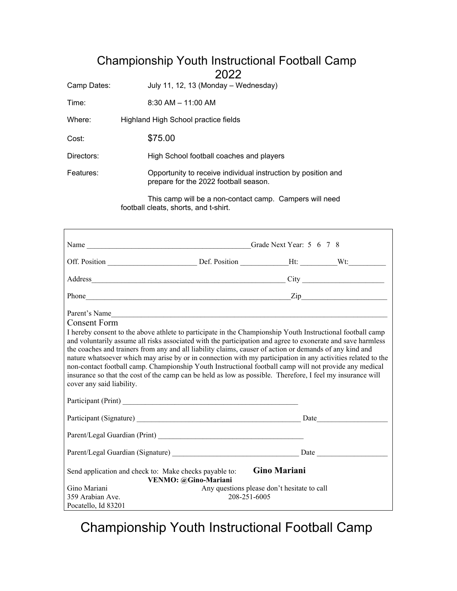## Championship Youth Instructional Football Camp 2022

Camp Dates: July 11, 12, 13 (Monday – Wednesday)

Time: 8:30 AM – 11:00 AM

Where: Highland High School practice fields

Cost: \$75.00

Directors: High School football coaches and players

Features: Opportunity to receive individual instruction by position and prepare for the 2022 football season.

> This camp will be a non-contact camp. Campers will need football cleats, shorts, and t-shirt.

| Parent's Name<br>Consent Form<br>I hereby consent to the above athlete to participate in the Championship Youth Instructional football camp<br>and voluntarily assume all risks associated with the participation and agree to exonerate and save harmless<br>the coaches and trainers from any and all liability claims, causer of action or demands of any kind and<br>nature whatsoever which may arise by or in connection with my participation in any activities related to the<br>non-contact football camp. Championship Youth Instructional football camp will not provide any medical<br>insurance so that the cost of the camp can be held as low as possible. Therefore, I feel my insurance will<br>cover any said liability. |                                             |                     |  |
|--------------------------------------------------------------------------------------------------------------------------------------------------------------------------------------------------------------------------------------------------------------------------------------------------------------------------------------------------------------------------------------------------------------------------------------------------------------------------------------------------------------------------------------------------------------------------------------------------------------------------------------------------------------------------------------------------------------------------------------------|---------------------------------------------|---------------------|--|
|                                                                                                                                                                                                                                                                                                                                                                                                                                                                                                                                                                                                                                                                                                                                            |                                             |                     |  |
| Parent/Legal Guardian (Print)                                                                                                                                                                                                                                                                                                                                                                                                                                                                                                                                                                                                                                                                                                              |                                             |                     |  |
|                                                                                                                                                                                                                                                                                                                                                                                                                                                                                                                                                                                                                                                                                                                                            |                                             |                     |  |
| Send application and check to: Make checks payable to:                                                                                                                                                                                                                                                                                                                                                                                                                                                                                                                                                                                                                                                                                     | VENMO: @Gino-Mariani                        | <b>Gino Mariani</b> |  |
| Gino Mariani                                                                                                                                                                                                                                                                                                                                                                                                                                                                                                                                                                                                                                                                                                                               | Any questions please don't hesitate to call |                     |  |
| 359 Arabian Ave.                                                                                                                                                                                                                                                                                                                                                                                                                                                                                                                                                                                                                                                                                                                           | 208-251-6005                                |                     |  |
| Pocatello, Id 83201                                                                                                                                                                                                                                                                                                                                                                                                                                                                                                                                                                                                                                                                                                                        |                                             |                     |  |

Championship Youth Instructional Football Camp